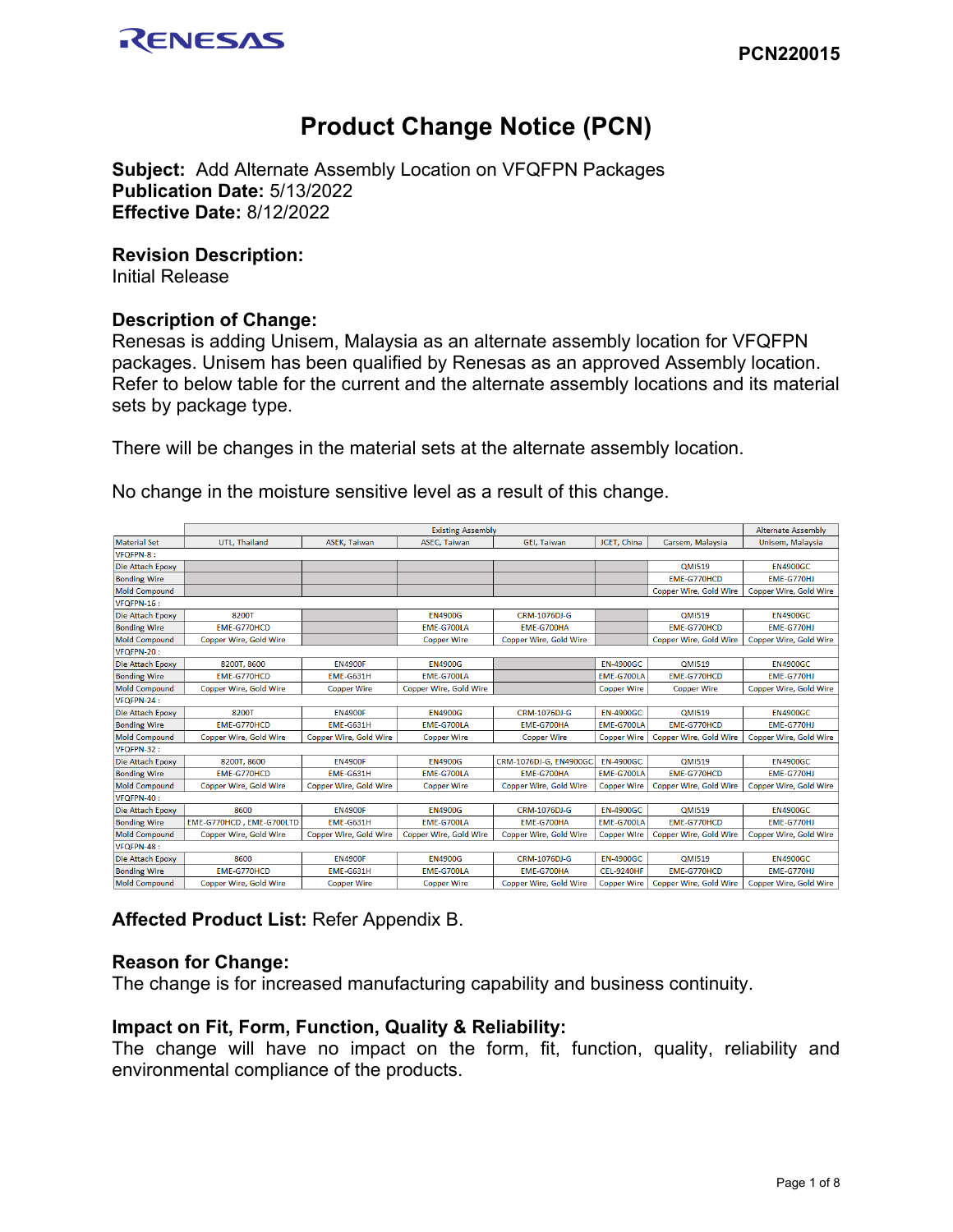

# **Product Change Notice (PCN)**

**Subject:** Add Alternate Assembly Location on VFQFPN Packages **Publication Date:** 5/13/2022 **Effective Date:** 8/12/2022

#### **Revision Description:**

Initial Release

### **Description of Change:**

Renesas is adding Unisem, Malaysia as an alternate assembly location for VFQFPN packages. Unisem has been qualified by Renesas as an approved Assembly location. Refer to below table for the current and the alternate assembly locations and its material sets by package type.

There will be changes in the material sets at the alternate assembly location.

No change in the moisture sensitive level as a result of this change.

|                         | <b>Existing Assembly</b>      |                               |                        |                        |                    | <b>Alternate Assembly</b>     |                        |
|-------------------------|-------------------------------|-------------------------------|------------------------|------------------------|--------------------|-------------------------------|------------------------|
| Material Set            | <b>UTL. Thailand</b>          | <b>ASEK. Taiwan</b>           | <b>ASEC. Taiwan</b>    | <b>GEI. Taiwan</b>     | JCET. China        | Carsem, Malaysia              | Unisem. Malaysia       |
| <b>VFQFPN-8:</b>        |                               |                               |                        |                        |                    |                               |                        |
| <b>Die Attach Epoxy</b> |                               |                               |                        |                        |                    | <b>QMI519</b>                 | <b>EN4900GC</b>        |
| <b>Bonding Wire</b>     |                               |                               |                        |                        |                    | EME-G770HCD                   | EME-G770HJ             |
| <b>Mold Compound</b>    |                               |                               |                        |                        |                    | <b>Copper Wire, Gold Wire</b> | Copper Wire, Gold Wire |
| VFQFPN-16:              |                               |                               |                        |                        |                    |                               |                        |
| Die Attach Epoxy        | 8200T                         |                               | <b>EN4900G</b>         | CRM-1076DJ-G           |                    | <b>QMI519</b>                 | <b>EN4900GC</b>        |
| <b>Bonding Wire</b>     | EME-G770HCD                   |                               | <b>EME-G700LA</b>      | EME-G700HA             |                    | EME-G770HCD                   | EME-G770HJ             |
| <b>Mold Compound</b>    | Copper Wire, Gold Wire        |                               | <b>Copper Wire</b>     | Copper Wire, Gold Wire |                    | Copper Wire, Gold Wire        | Copper Wire, Gold Wire |
| VFQFPN-20:              |                               |                               |                        |                        |                    |                               |                        |
| Die Attach Epoxy        | 8200T, 8600                   | <b>EN4900F</b>                | <b>EN4900G</b>         |                        | <b>EN-4900GC</b>   | <b>QMI519</b>                 | <b>EN4900GC</b>        |
| <b>Bonding Wire</b>     | FMF-G770HCD                   | EME-G631H                     | EME-G700LA             |                        | EME-G700LA         | EME-G770HCD                   | EME-G770HJ             |
| <b>Mold Compound</b>    | Copper Wire, Gold Wire        | <b>Copper Wire</b>            | Copper Wire, Gold Wire |                        | <b>Copper Wire</b> | <b>Copper Wire</b>            | Copper Wire, Gold Wire |
| VFOFPN-24:              |                               |                               |                        |                        |                    |                               |                        |
| Die Attach Epoxy        | 8200T                         | <b>EN4900F</b>                | <b>EN4900G</b>         | <b>CRM-1076DJ-G</b>    | <b>EN-4900GC</b>   | <b>OMI519</b>                 | <b>EN4900GC</b>        |
| <b>Bonding Wire</b>     | EME-G770HCD                   | EME-G631H                     | EME-G700LA             | EME-G700HA             | EME-G700LA         | EME-G770HCD                   | EME-G770HJ             |
| <b>Mold Compound</b>    | <b>Copper Wire, Gold Wire</b> | <b>Copper Wire, Gold Wire</b> | <b>Copper Wire</b>     | <b>Copper Wire</b>     | <b>Copper Wire</b> | <b>Copper Wire, Gold Wire</b> | Copper Wire, Gold Wire |
| VFQFPN-32:              |                               |                               |                        |                        |                    |                               |                        |
| Die Attach Epoxy        | 8200T, 8600                   | <b>FN4900F</b>                | <b>FN4900G</b>         | CRM-1076DJ-G. EN4900GC | <b>EN-4900GC</b>   | <b>QMI519</b>                 | <b>FN4900GC</b>        |
| <b>Bonding Wire</b>     | <b>EME-G770HCD</b>            | <b>EME-G631H</b>              | <b>EME-G700LA</b>      | <b>EME-G700HA</b>      | <b>EME-G700LA</b>  | <b>EME-G770HCD</b>            | <b>EME-G770HJ</b>      |
| <b>Mold Compound</b>    | Copper Wire, Gold Wire        | Copper Wire, Gold Wire        | <b>Copper Wire</b>     | Copper Wire, Gold Wire | <b>Copper Wire</b> | Copper Wire, Gold Wire        | Copper Wire, Gold Wire |
| VFQFPN-40:              |                               |                               |                        |                        |                    |                               |                        |
| Die Attach Epoxy        | 8600                          | <b>EN4900F</b>                | <b>EN4900G</b>         | <b>CRM-1076DJ-G</b>    | <b>EN-4900GC</b>   | <b>QMI519</b>                 | <b>EN4900GC</b>        |
| <b>Bonding Wire</b>     | EME-G770HCD, EME-G700LTD      | EME-G631H                     | EME-G700LA             | EME-G700HA             | EME-G700LA         | EME-G770HCD                   | EME-G770HJ             |
| Mold Compound           | Copper Wire, Gold Wire        | Copper Wire, Gold Wire        | Copper Wire, Gold Wire | Copper Wire, Gold Wire | <b>Copper Wire</b> | Copper Wire, Gold Wire        | Copper Wire, Gold Wire |
| VFQFPN-48:              |                               |                               |                        |                        |                    |                               |                        |
| Die Attach Epoxy        | 8600                          | <b>EN4900F</b>                | <b>EN4900G</b>         | <b>CRM-1076DJ-G</b>    | <b>EN-4900GC</b>   | <b>QMI519</b>                 | <b>EN4900GC</b>        |
| <b>Bonding Wire</b>     | EME-G770HCD                   | EME-G631H                     | EME-G700LA             | EME-G700HA             | <b>CEL-9240HF</b>  | EME-G770HCD                   | EME-G770HJ             |
| <b>Mold Compound</b>    | Copper Wire, Gold Wire        | <b>Copper Wire</b>            | <b>Copper Wire</b>     | Copper Wire, Gold Wire | <b>Copper Wire</b> | Copper Wire, Gold Wire        | Copper Wire, Gold Wire |

## **Affected Product List:** Refer Appendix B.

#### **Reason for Change:**

The change is for increased manufacturing capability and business continuity.

#### **Impact on Fit, Form, Function, Quality & Reliability:**

The change will have no impact on the form, fit, function, quality, reliability and environmental compliance of the products.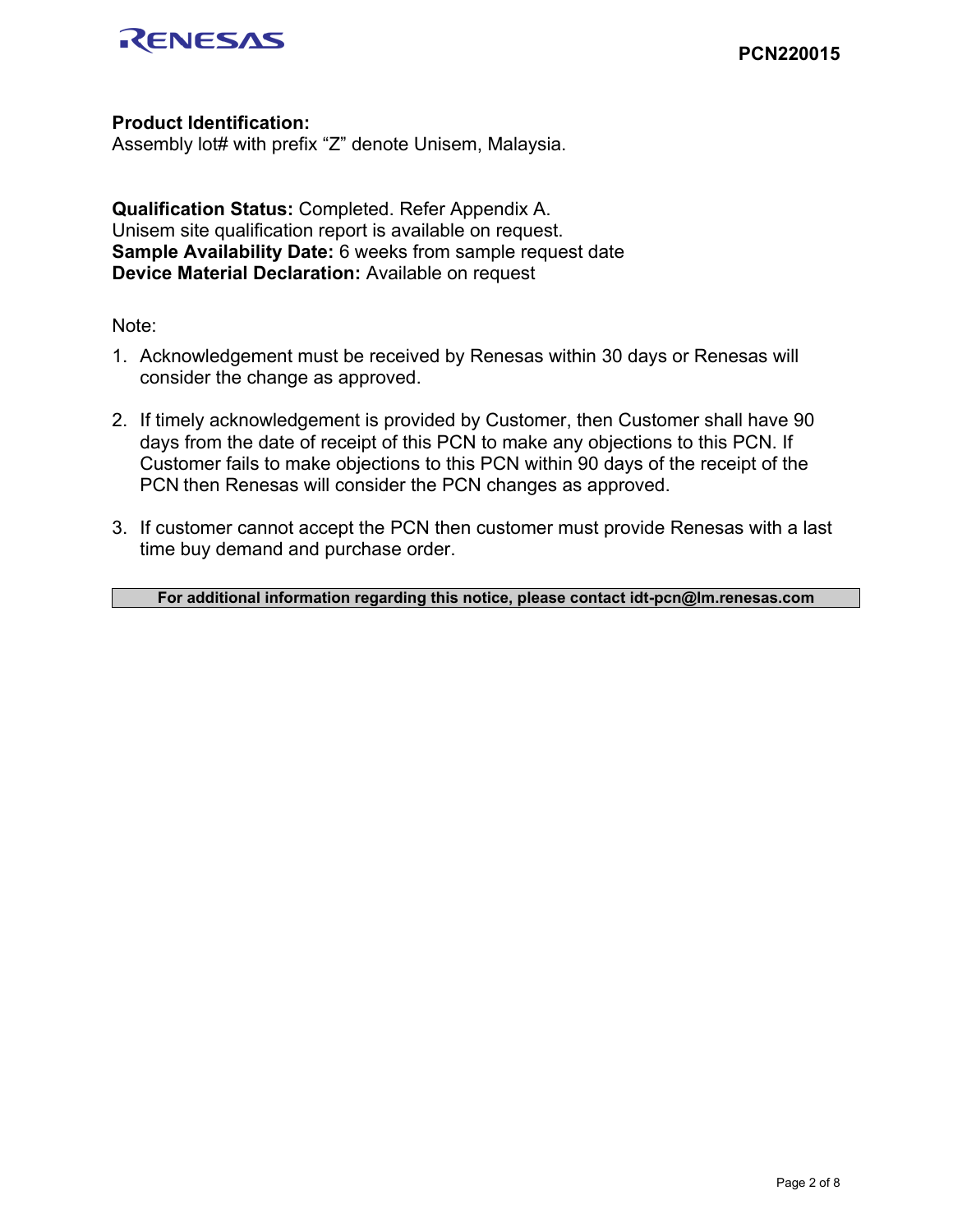

# **Product Identification:**

Assembly lot# with prefix "Z" denote Unisem, Malaysia.

**Qualification Status:** Completed. Refer Appendix A. Unisem site qualification report is available on request. **Sample Availability Date:** 6 weeks from sample request date **Device Material Declaration:** Available on request

Note:

- 1. Acknowledgement must be received by Renesas within 30 days or Renesas will consider the change as approved.
- 2. If timely acknowledgement is provided by Customer, then Customer shall have 90 days from the date of receipt of this PCN to make any objections to this PCN. If Customer fails to make objections to this PCN within 90 days of the receipt of the PCN then Renesas will consider the PCN changes as approved.
- 3. If customer cannot accept the PCN then customer must provide Renesas with a last time buy demand and purchase order.

**For additional information regarding this notice, please contact idt-pcn@lm.renesas.com**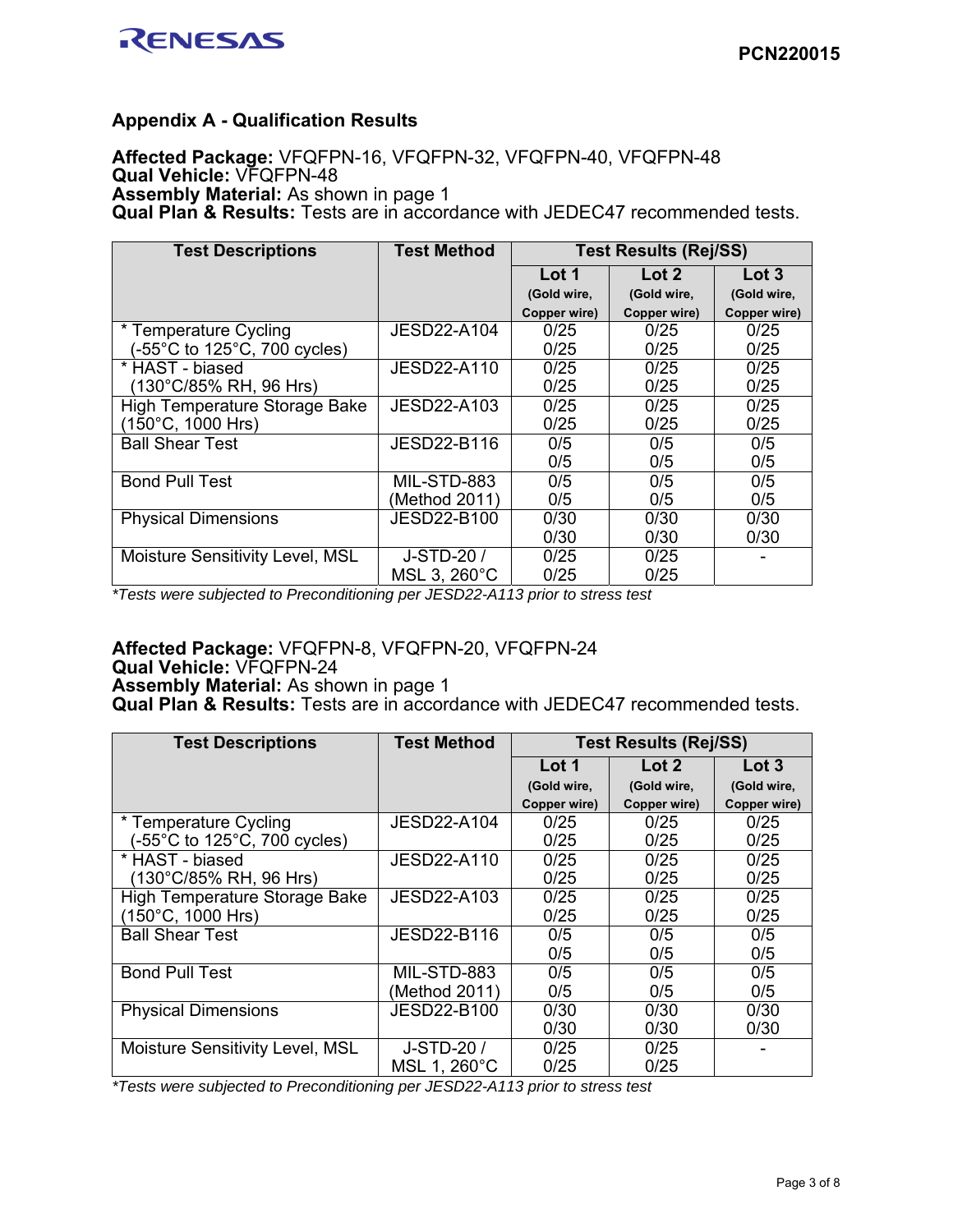

## **Appendix A - Qualification Results**

**Affected Package:** VFQFPN-16, VFQFPN-32, VFQFPN-40, VFQFPN-48 **Qual Vehicle:** VFQFPN-48 **Assembly Material:** As shown in page 1 **Qual Plan & Results:** Tests are in accordance with JEDEC47 recommended tests.

| <b>Test Descriptions</b>               | <b>Test Method</b> | <b>Test Results (Rej/SS)</b> |                  |              |
|----------------------------------------|--------------------|------------------------------|------------------|--------------|
|                                        |                    | Lot 1                        | $\mathsf{Lot}$ 2 | Lot 3        |
|                                        |                    | (Gold wire,                  | (Gold wire,      | (Gold wire,  |
|                                        |                    | Copper wire)                 | Copper wire)     | Copper wire) |
| * Temperature Cycling                  | JESD22-A104        | 0/25                         | 0/25             | 0/25         |
| (-55°C to 125°C, 700 cycles)           |                    | 0/25                         | 0/25             | 0/25         |
| * HAST - biased                        | JESD22-A110        | 0/25                         | 0/25             | 0/25         |
| (130°C/85% RH, 96 Hrs)                 |                    | 0/25                         | 0/25             | 0/25         |
| <b>High Temperature Storage Bake</b>   | JESD22-A103        | 0/25                         | 0/25             | 0/25         |
| $(150^{\circ}C, 1000$ Hrs)             |                    | 0/25                         | 0/25             | 0/25         |
| <b>Ball Shear Test</b>                 | JESD22-B116        | 0/5                          | 0/5              | 0/5          |
|                                        |                    | 0/5                          | 0/5              | 0/5          |
| <b>Bond Pull Test</b>                  | MIL-STD-883        | 0/5                          | 0/5              | 0/5          |
|                                        | (Method 2011)      | 0/5                          | 0/5              | 0/5          |
| <b>Physical Dimensions</b>             | JESD22-B100        | 0/30                         | 0/30             | 0/30         |
|                                        |                    | 0/30                         | 0/30             | 0/30         |
| <b>Moisture Sensitivity Level, MSL</b> | J-STD-20 /         | 0/25                         | 0/25             |              |
|                                        | MSL 3, 260°C       | 0/25                         | 0/25             |              |

*\*Tests were subjected to Preconditioning per JESD22-A113 prior to stress test* 

# **Affected Package:** VFQFPN-8, VFQFPN-20, VFQFPN-24

**Qual Vehicle:** VFQFPN-24

**Assembly Material:** As shown in page 1

**Qual Plan & Results:** Tests are in accordance with JEDEC47 recommended tests.

| <b>Test Descriptions</b>               | <b>Test Method</b> | <b>Test Results (Rej/SS)</b> |                  |              |
|----------------------------------------|--------------------|------------------------------|------------------|--------------|
|                                        |                    | Lot 1                        | $\mathsf{Lot}$ 2 | Lot 3        |
|                                        |                    | (Gold wire,                  | (Gold wire,      | (Gold wire,  |
|                                        |                    | Copper wire)                 | Copper wire)     | Copper wire) |
| * Temperature Cycling                  | JESD22-A104        | 0/25                         | 0/25             | 0/25         |
| (-55°C to 125°C, 700 cycles)           |                    | 0/25                         | 0/25             | 0/25         |
| * HAST - biased                        | JESD22-A110        | 0/25                         | 0/25             | 0/25         |
| (130°C/85% RH, 96 Hrs)                 |                    | 0/25                         | 0/25             | 0/25         |
| High Temperature Storage Bake          | JESD22-A103        | 0/25                         | 0/25             | 0/25         |
| $(150^{\circ}C, 1000$ Hrs)             |                    | 0/25                         | 0/25             | 0/25         |
| <b>Ball Shear Test</b>                 | JESD22-B116        | 0/5                          | 0/5              | 0/5          |
|                                        |                    | 0/5                          | 0/5              | 0/5          |
| <b>Bond Pull Test</b>                  | MIL-STD-883        | 0/5                          | 0/5              | 0/5          |
|                                        | (Method 2011)      | 0/5                          | 0/5              | 0/5          |
| <b>Physical Dimensions</b>             | <b>JESD22-B100</b> | 0/30                         | 0/30             | 0/30         |
|                                        |                    | 0/30                         | 0/30             | 0/30         |
| <b>Moisture Sensitivity Level, MSL</b> | J-STD-20 /         | 0/25                         | 0/25             |              |
|                                        | MSL 1, 260°C       | 0/25                         | 0/25             |              |

*\*Tests were subjected to Preconditioning per JESD22-A113 prior to stress test*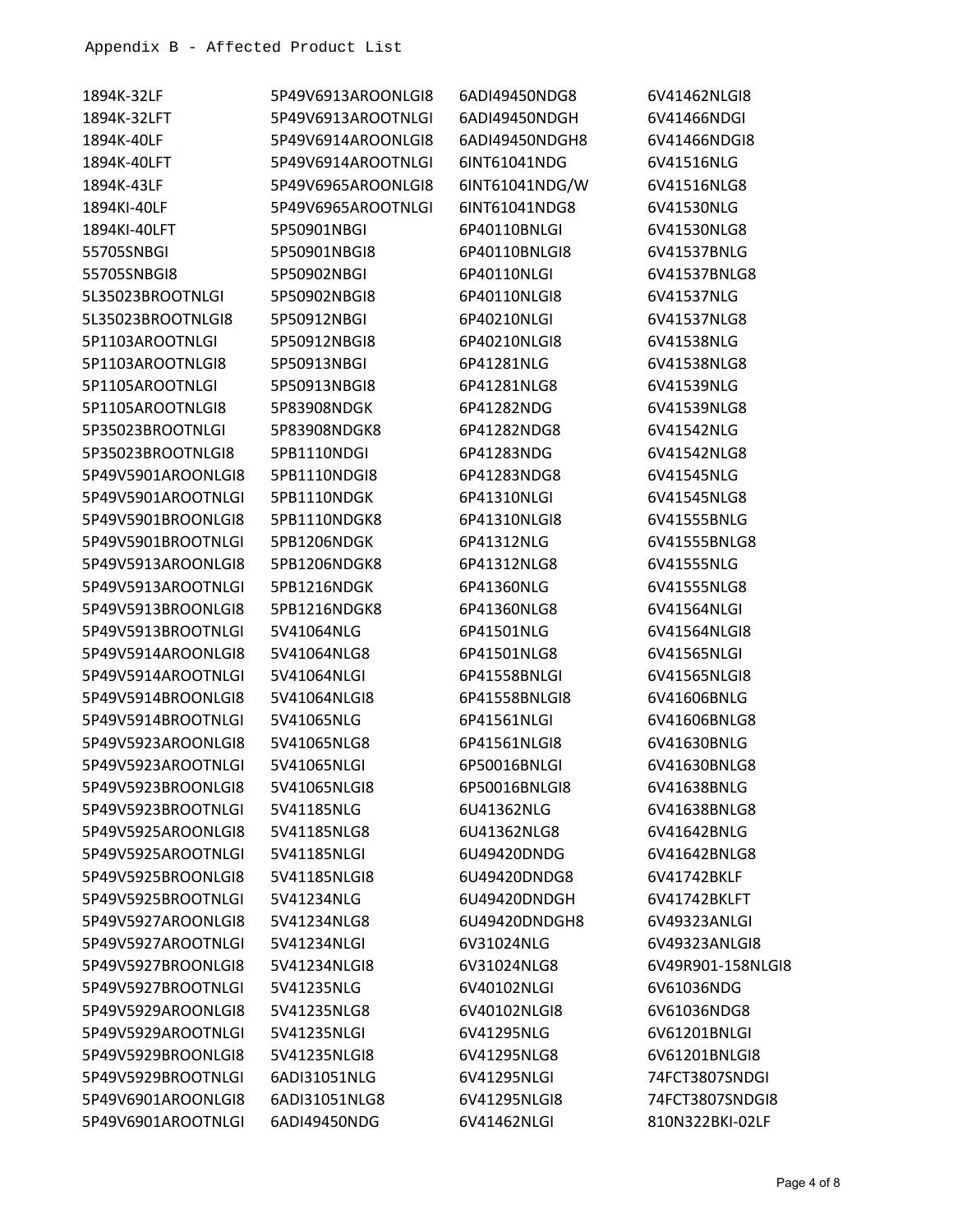| 1894K-32LF         | 5P49V6913AROONLGI8 | 6ADI49450NDG8  | 6V41462NLGI8      |
|--------------------|--------------------|----------------|-------------------|
| 1894K-32LFT        | 5P49V6913AROOTNLGI | 6ADI49450NDGH  | 6V41466NDGI       |
| 1894K-40LF         | 5P49V6914AROONLGI8 | 6ADI49450NDGH8 | 6V41466NDGI8      |
| 1894K-40LFT        | 5P49V6914AROOTNLGI | 6INT61041NDG   | 6V41516NLG        |
| 1894K-43LF         | 5P49V6965AROONLGI8 | 6INT61041NDG/W | 6V41516NLG8       |
| 1894KI-40LF        | 5P49V6965AROOTNLGI | 6INT61041NDG8  | 6V41530NLG        |
| 1894KI-40LFT       | 5P50901NBGI        | 6P40110BNLGI   | 6V41530NLG8       |
| 55705SNBGI         | 5P50901NBGI8       | 6P40110BNLGI8  | 6V41537BNLG       |
| 55705SNBGI8        | 5P50902NBGI        | 6P40110NLGI    | 6V41537BNLG8      |
| 5L35023BROOTNLGI   | 5P50902NBGI8       | 6P40110NLGI8   | 6V41537NLG        |
| 5L35023BROOTNLGI8  | 5P50912NBGI        | 6P40210NLGI    | 6V41537NLG8       |
| 5P1103AROOTNLGI    | 5P50912NBGI8       | 6P40210NLGI8   | 6V41538NLG        |
| 5P1103AROOTNLGI8   | 5P50913NBGI        | 6P41281NLG     | 6V41538NLG8       |
| 5P1105AROOTNLGI    | 5P50913NBGI8       | 6P41281NLG8    | 6V41539NLG        |
| 5P1105AROOTNLGI8   | 5P83908NDGK        | 6P41282NDG     | 6V41539NLG8       |
| 5P35023BROOTNLGI   | 5P83908NDGK8       | 6P41282NDG8    | 6V41542NLG        |
| 5P35023BROOTNLGI8  | 5PB1110NDGI        | 6P41283NDG     | 6V41542NLG8       |
| 5P49V5901AROONLGI8 | 5PB1110NDGI8       | 6P41283NDG8    | 6V41545NLG        |
| 5P49V5901AROOTNLGI | 5PB1110NDGK        | 6P41310NLGI    | 6V41545NLG8       |
| 5P49V5901BROONLGI8 | 5PB1110NDGK8       | 6P41310NLGI8   | 6V41555BNLG       |
| 5P49V5901BROOTNLGI | 5PB1206NDGK        | 6P41312NLG     | 6V41555BNLG8      |
| 5P49V5913AROONLGI8 | 5PB1206NDGK8       | 6P41312NLG8    | 6V41555NLG        |
| 5P49V5913AROOTNLGI | 5PB1216NDGK        | 6P41360NLG     | 6V41555NLG8       |
| 5P49V5913BROONLGI8 | 5PB1216NDGK8       | 6P41360NLG8    | 6V41564NLGI       |
| 5P49V5913BROOTNLGI | 5V41064NLG         | 6P41501NLG     | 6V41564NLGI8      |
| 5P49V5914AROONLGI8 | 5V41064NLG8        | 6P41501NLG8    | 6V41565NLGI       |
| 5P49V5914AROOTNLGI | 5V41064NLGI        | 6P41558BNLGI   | 6V41565NLGI8      |
| 5P49V5914BROONLGI8 | 5V41064NLGI8       | 6P41558BNLGI8  | 6V41606BNLG       |
| 5P49V5914BROOTNLGI | 5V41065NLG         | 6P41561NLGI    | 6V41606BNLG8      |
| 5P49V5923AROONLGI8 | 5V41065NLG8        | 6P41561NLGI8   | 6V41630BNLG       |
| 5P49V5923AROOTNLGI | 5V41065NLGI        | 6P50016BNLGI   | 6V41630BNLG8      |
| 5P49V5923BROONLGI8 | 5V41065NLGI8       | 6P50016BNLGI8  | 6V41638BNLG       |
| 5P49V5923BROOTNLGI | 5V41185NLG         | 6U41362NLG     | 6V41638BNLG8      |
| 5P49V5925AROONLGI8 | 5V41185NLG8        | 6U41362NLG8    | 6V41642BNLG       |
| 5P49V5925AROOTNLGI | 5V41185NLGI        | 6U49420DNDG    | 6V41642BNLG8      |
| 5P49V5925BROONLGI8 | 5V41185NLGI8       | 6U49420DNDG8   | 6V41742BKLF       |
| 5P49V5925BROOTNLGI | 5V41234NLG         | 6U49420DNDGH   | 6V41742BKLFT      |
| 5P49V5927AROONLGI8 | 5V41234NLG8        | 6U49420DNDGH8  | 6V49323ANLGI      |
| 5P49V5927AROOTNLGI | 5V41234NLGI        | 6V31024NLG     | 6V49323ANLGI8     |
| 5P49V5927BROONLGI8 | 5V41234NLGI8       | 6V31024NLG8    | 6V49R901-158NLGI8 |
| 5P49V5927BROOTNLGI | 5V41235NLG         | 6V40102NLGI    | 6V61036NDG        |
| 5P49V5929AROONLGI8 | 5V41235NLG8        | 6V40102NLGI8   | 6V61036NDG8       |
| 5P49V5929AROOTNLGI | 5V41235NLGI        | 6V41295NLG     | 6V61201BNLGI      |
| 5P49V5929BROONLGI8 | 5V41235NLGI8       | 6V41295NLG8    | 6V61201BNLGI8     |
| 5P49V5929BROOTNLGI | 6ADI31051NLG       | 6V41295NLGI    | 74FCT3807SNDGI    |
| 5P49V6901AROONLGI8 | 6ADI31051NLG8      | 6V41295NLGI8   | 74FCT3807SNDGI8   |
| 5P49V6901AROOTNLGI | 6ADI49450NDG       | 6V41462NLGI    | 810N322BKI-02LF   |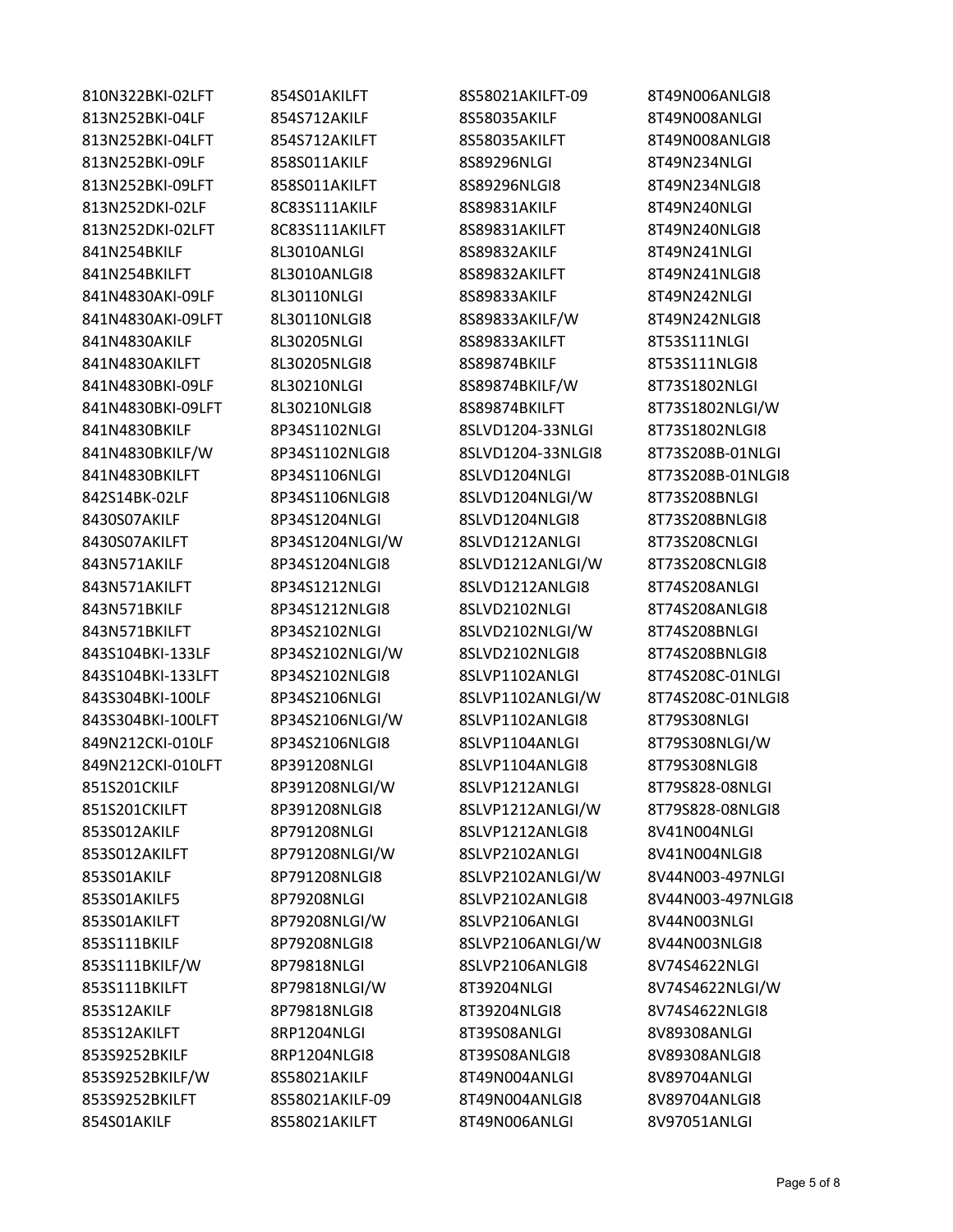810N322BKI-02LFT 854S01AKILFT 8S58021AKILFT-09 8T49N006ANLGI8 813N252BKI-04LF 854S712AKILF 8S58035AKILF 8T49N008ANLGI 813N252BKI-04LFT 854S712AKILFT 8S58035AKILFT 8T49N008ANLGI8 813N252BKI-09LF 858S011AKILF 8S89296NLGI 8T49N234NLGI 813N252BKI-09LFT 858S011AKILFT 8S89296NLGI8 8T49N234NLGI8 813N252DKI-02LF 8C83S111AKILF 8S89831AKILF 8T49N240NLGI 813N252DKI-02LFT 8C83S111AKILFT 8S89831AKILFT 8T49N240NLGI8 841N254BKILF 8L3010ANLGI 8S89832AKILF 8T49N241NLGI 841N254BKILFT 8L3010ANLGI8 8S89832AKILFT 8T49N241NLGI8 841N4830AKI-09LF 8L30110NLGI 8S89833AKILF 8T49N242NLGI 841N4830AKI-09LFT 8L30110NLGI8 8S89833AKILF/W 8T49N242NLGI8 841N4830AKILF 8L30205NLGI 8S89833AKILFT 8T53S111NLGI 841N4830AKILFT 8L30205NLGI8 8S89874BKILF 8T53S111NLGI8 841N4830BKI-09LF 8L30210NLGI 8S89874BKILF/W 8T73S1802NLGI 841N4830BKI-09LFT 8L30210NLGI8 8S89874BKILFT 8T73S1802NLGI/W 841N4830BKILF 8P34S1102NLGI 8SLVD1204-33NLGI 8T73S1802NLGI8 841N4830BKILF/W 8P34S1102NLGI8 8SLVD1204-33NLGI8 8T73S208B-01NLGI 841N4830BKILFT 8P34S1106NLGI 8SLVD1204NLGI 8T73S208B-01NLGI8 842S14BK-02LF 8P34S1106NLGI8 8SLVD1204NLGI/W 8T73S208BNLGI 8430S07AKILF 8P34S1204NLGI 8SLVD1204NLGI8 8T73S208BNLGI8 8430S07AKILFT 8P34S1204NLGI/W 8SLVD1212ANLGI 8T73S208CNLGI 843N571AKILF 8P34S1204NLGI8 8SLVD1212ANLGI/W 8T73S208CNLGI8 843N571AKILFT 8P34S1212NLGI 8SLVD1212ANLGI8 8T74S208ANLGI 843N571BKILF 8P34S1212NLGI8 8SLVD2102NLGI 8T74S208ANLGI8 843N571BKILFT 8P34S2102NLGI 8SLVD2102NLGI/W 8T74S208BNLGI 843S104BKI-133LF 8P34S2102NLGI/W 8SLVD2102NLGI8 8T74S208BNLGI8 843S104BKI-133LFT 8P34S2102NLGI8 8SLVP1102ANLGI 8T74S208C-01NLGI 843S304BKI-100LF 8P34S2106NLGI 8SLVP1102ANLGI/W 8T74S208C-01NLGI8 843S304BKI-100LFT 8P34S2106NLGI/W 8SLVP1102ANLGI8 8T79S308NLGI 849N212CKI-010LF 8P34S2106NLGI8 8SLVP1104ANLGI 8T79S308NLGI/W 849N212CKI-010LFT 8P391208NLGI 8SLVP1104ANLGI8 8T79S308NLGI8 851S201CKILF 8P391208NLGI/W 8SLVP1212ANLGI 8T79S828-08NLGI 851S201CKILFT 8P391208NLGI8 8SLVP1212ANLGI/W 8T79S828-08NLGI8 853S012AKILF 8P791208NLGI 8SLVP1212ANLGI8 8V41N004NLGI 853S012AKILFT 8P791208NLGI/W 8SLVP2102ANLGI 8V41N004NLGI8 853S01AKILF 8P791208NLGI8 8SLVP2102ANLGI/W 8V44N003-497NLGI 853S01AKILF5 8P79208NLGI 8SLVP2102ANLGI8 8V44N003-497NLGI8 853S01AKILFT 8P79208NLGI/W 8SLVP2106ANLGI 8V44N003NLGI 853S111BKILF 8P79208NLGI8 8SLVP2106ANLGI/W 8V44N003NLGI8 853S111BKILF/W 8P79818NLGI 8SLVP2106ANLGI8 8V74S4622NLGI 853S111BKILFT 8P79818NLGI/W 8T39204NLGI 8V74S4622NLGI/W 853S12AKILF 8P79818NLGI8 8T39204NLGI8 8V74S4622NLGI8 853S12AKILFT 8RP1204NLGI 8T39S08ANLGI 8V89308ANLGI 853S9252BKILF 8RP1204NLGI8 8T39S08ANLGI8 8V89308ANLGI8 853S9252BKILF/W 8S58021AKILF 8T49N004ANLGI 8V89704ANLGI 853S9252BKILFT 8S58021AKILF-09 8T49N004ANLGI8 8V89704ANLGI8 854S01AKILF 8S58021AKILFT 8T49N006ANLGI 8V97051ANLGI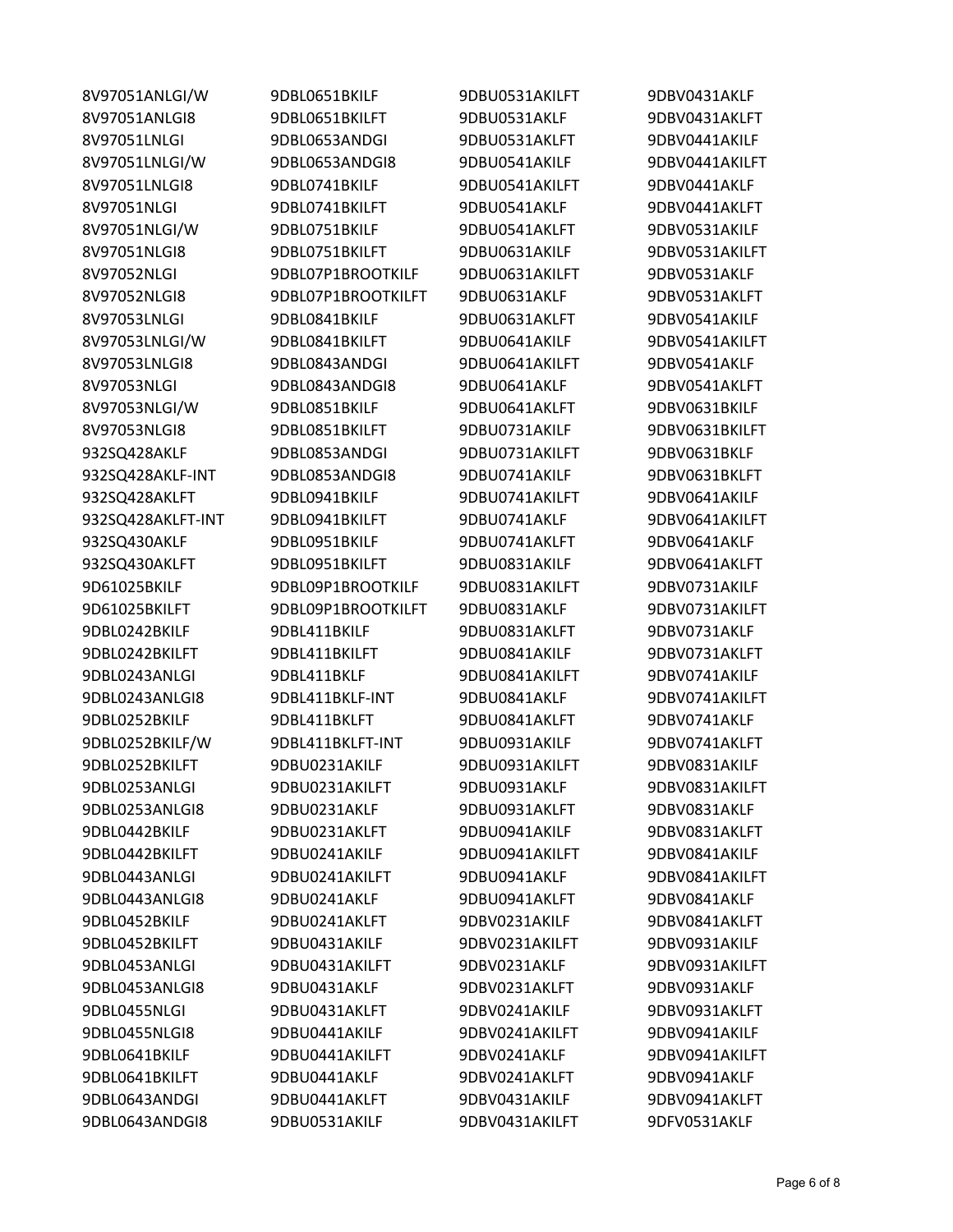| 8V97051ANLGI/W    | 9DBL0651BKILF      | 9DBU0531AKILFT | 9DBV0431AKLF   |
|-------------------|--------------------|----------------|----------------|
| 8V97051ANLGI8     | 9DBL0651BKILFT     | 9DBU0531AKLF   | 9DBV0431AKLFT  |
| 8V97051LNLGI      | 9DBL0653ANDGI      | 9DBU0531AKLFT  | 9DBV0441AKILF  |
| 8V97051LNLGI/W    | 9DBL0653ANDGI8     | 9DBU0541AKILF  | 9DBV0441AKILFT |
| 8V97051LNLGI8     | 9DBL0741BKILF      | 9DBU0541AKILFT | 9DBV0441AKLF   |
| 8V97051NLGI       | 9DBL0741BKILFT     | 9DBU0541AKLF   | 9DBV0441AKLFT  |
| 8V97051NLGI/W     | 9DBL0751BKILF      | 9DBU0541AKLFT  | 9DBV0531AKILF  |
| 8V97051NLGI8      | 9DBL0751BKILFT     | 9DBU0631AKILF  | 9DBV0531AKILFT |
| 8V97052NLGI       | 9DBL07P1BROOTKILF  | 9DBU0631AKILFT | 9DBV0531AKLF   |
| 8V97052NLGI8      | 9DBL07P1BROOTKILFT | 9DBU0631AKLF   | 9DBV0531AKLFT  |
| 8V97053LNLGI      | 9DBL0841BKILF      | 9DBU0631AKLFT  | 9DBV0541AKILF  |
| 8V97053LNLGI/W    | 9DBL0841BKILFT     | 9DBU0641AKILF  | 9DBV0541AKILFT |
| 8V97053LNLGI8     | 9DBL0843ANDGI      | 9DBU0641AKILFT | 9DBV0541AKLF   |
| 8V97053NLGI       | 9DBL0843ANDGI8     | 9DBU0641AKLF   | 9DBV0541AKLFT  |
| 8V97053NLGI/W     | 9DBL0851BKILF      | 9DBU0641AKLFT  | 9DBV0631BKILF  |
| 8V97053NLGI8      | 9DBL0851BKILFT     | 9DBU0731AKILF  | 9DBV0631BKILFT |
| 932SQ428AKLF      | 9DBL0853ANDGI      | 9DBU0731AKILFT | 9DBV0631BKLF   |
| 932SQ428AKLF-INT  | 9DBL0853ANDGI8     | 9DBU0741AKILF  | 9DBV0631BKLFT  |
| 932SQ428AKLFT     | 9DBL0941BKILF      | 9DBU0741AKILFT | 9DBV0641AKILF  |
| 932SQ428AKLFT-INT | 9DBL0941BKILFT     | 9DBU0741AKLF   | 9DBV0641AKILFT |
| 932SQ430AKLF      | 9DBL0951BKILF      | 9DBU0741AKLFT  | 9DBV0641AKLF   |
| 932SQ430AKLFT     | 9DBL0951BKILFT     | 9DBU0831AKILF  | 9DBV0641AKLFT  |
| 9D61025BKILF      | 9DBL09P1BROOTKILF  | 9DBU0831AKILFT | 9DBV0731AKILF  |
| 9D61025BKILFT     | 9DBL09P1BROOTKILFT | 9DBU0831AKLF   | 9DBV0731AKILFT |
| 9DBL0242BKILF     | 9DBL411BKILF       | 9DBU0831AKLFT  | 9DBV0731AKLF   |
| 9DBL0242BKILFT    | 9DBL411BKILFT      | 9DBU0841AKILF  | 9DBV0731AKLFT  |
| 9DBL0243ANLGI     | 9DBL411BKLF        | 9DBU0841AKILFT | 9DBV0741AKILF  |
| 9DBL0243ANLGI8    | 9DBL411BKLF-INT    | 9DBU0841AKLF   | 9DBV0741AKILFT |
| 9DBL0252BKILF     | 9DBL411BKLFT       | 9DBU0841AKLFT  | 9DBV0741AKLF   |
| 9DBL0252BKILF/W   | 9DBL411BKLFT-INT   | 9DBU0931AKILF  | 9DBV0741AKLFT  |
| 9DBL0252BKILFT    | 9DBU0231AKILF      | 9DBU0931AKILFT | 9DBV0831AKILF  |
| 9DBL0253ANLGI     | 9DBU0231AKILFT     | 9DBU0931AKLF   | 9DBV0831AKILFT |
| 9DBL0253ANLGI8    | 9DBU0231AKLF       | 9DBU0931AKLFT  | 9DBV0831AKLF   |
| 9DBL0442BKILF     | 9DBU0231AKLFT      | 9DBU0941AKILF  | 9DBV0831AKLFT  |
| 9DBL0442BKILFT    | 9DBU0241AKILF      | 9DBU0941AKILFT | 9DBV0841AKILF  |
| 9DBL0443ANLGI     | 9DBU0241AKILFT     | 9DBU0941AKLF   | 9DBV0841AKILFT |
| 9DBL0443ANLGI8    | 9DBU0241AKLF       | 9DBU0941AKLFT  | 9DBV0841AKLF   |
| 9DBL0452BKILF     | 9DBU0241AKLFT      | 9DBV0231AKILF  | 9DBV0841AKLFT  |
| 9DBL0452BKILFT    | 9DBU0431AKILF      | 9DBV0231AKILFT | 9DBV0931AKILF  |
| 9DBL0453ANLGI     | 9DBU0431AKILFT     | 9DBV0231AKLF   | 9DBV0931AKILFT |
| 9DBL0453ANLGI8    | 9DBU0431AKLF       | 9DBV0231AKLFT  | 9DBV0931AKLF   |
| 9DBL0455NLGI      | 9DBU0431AKLFT      | 9DBV0241AKILF  | 9DBV0931AKLFT  |
| 9DBL0455NLGI8     | 9DBU0441AKILF      | 9DBV0241AKILFT | 9DBV0941AKILF  |
| 9DBL0641BKILF     | 9DBU0441AKILFT     | 9DBV0241AKLF   | 9DBV0941AKILFT |
| 9DBL0641BKILFT    | 9DBU0441AKLF       | 9DBV0241AKLFT  | 9DBV0941AKLF   |
| 9DBL0643ANDGI     | 9DBU0441AKLFT      | 9DBV0431AKILF  | 9DBV0941AKLFT  |
| 9DBL0643ANDGI8    | 9DBU0531AKILF      | 9DBV0431AKILFT | 9DFV0531AKLF   |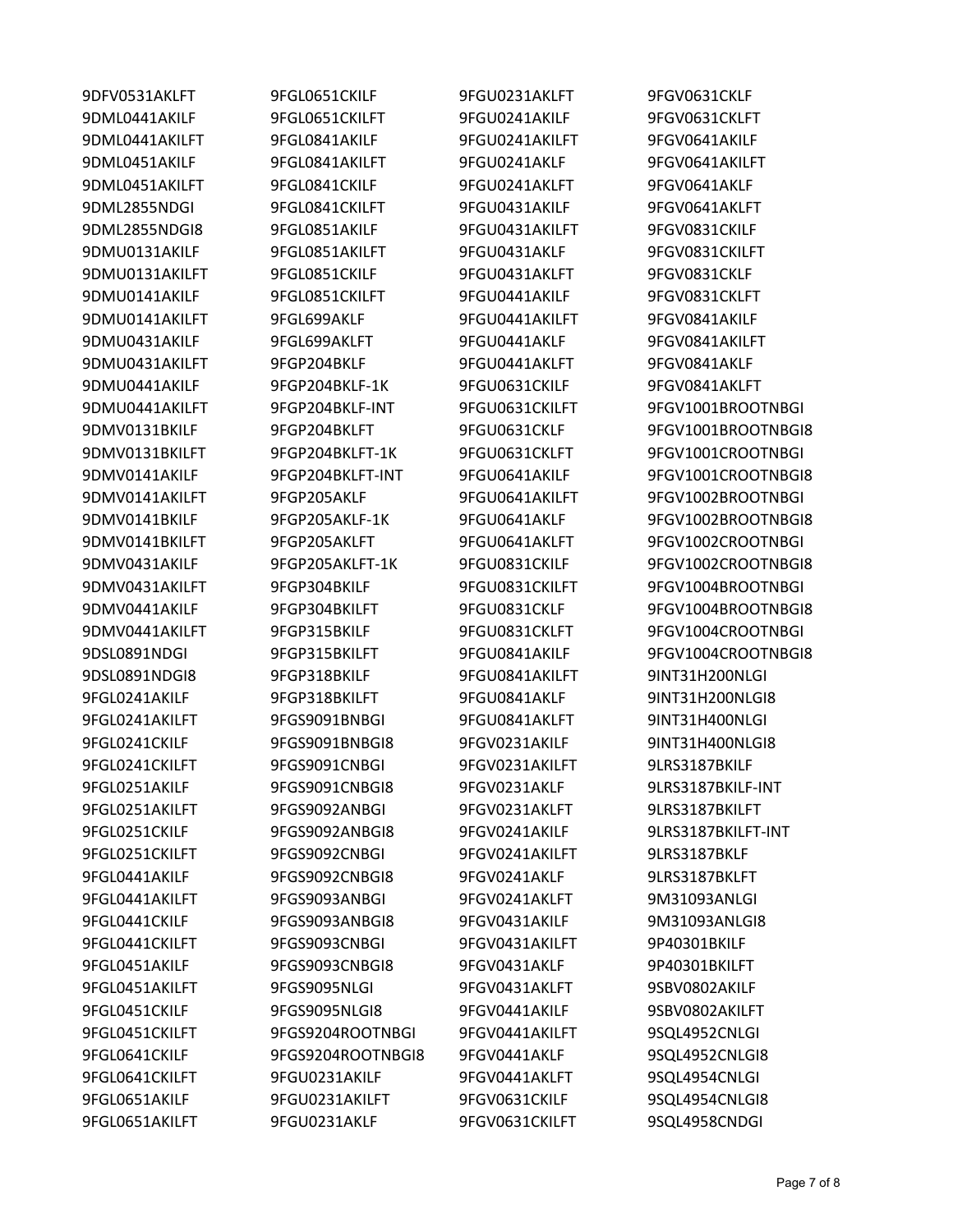9DFV0531AKLFT 9FGL0651CKILF 9FGU0231AKLFT 9FGV0631CKLF

9DML0441AKILF 9FGL0651CKILFT 9FGU0241AKILF 9FGV0631CKLFT 9DML0441AKILFT 9FGL0841AKILF 9FGU0241AKILFT 9FGV0641AKILF 9DML0451AKILF 9FGL0841AKILFT 9FGU0241AKLF 9FGV0641AKILFT 9DML0451AKILFT 9FGL0841CKILF 9FGU0241AKLFT 9FGV0641AKLF 9DML2855NDGI 9FGL0841CKILFT 9FGU0431AKILF 9FGV0641AKLFT 9DML2855NDGI8 9FGL0851AKILF 9FGU0431AKILFT 9FGV0831CKILF 9DMU0131AKILF 9FGL0851AKILFT 9FGU0431AKLF 9FGV0831CKILFT 9DMU0131AKILFT 9FGL0851CKILF 9FGU0431AKLFT 9FGV0831CKLF 9DMU0141AKILF 9FGL0851CKILFT 9FGU0441AKILF 9FGV0831CKLFT 9DMU0141AKILFT 9FGL699AKLF 9FGU0441AKILFT 9FGV0841AKILF 9DMU0431AKILF 9FGL699AKLFT 9FGU0441AKLF 9FGV0841AKILFT 9DMU0431AKILFT 9FGP204BKLF 9FGU0441AKLFT 9FGV0841AKLF 9DMU0441AKILF 9FGP204BKLF-1K 9FGU0631CKILF 9FGV0841AKLFT 9DSL0891NDGI8 9FGP318BKILF 9FGU0841AKILFT 9INT31H200NLGI 9FGL0241AKILF 9FGP318BKILFT 9FGU0841AKLF 9INT31H200NLGI8 9FGL0241AKILFT 9FGS9091BNBGI 9FGU0841AKLFT 9INT31H400NLGI 9FGL0241CKILF 9FGS9091BNBGI8 9FGV0231AKILF 9INT31H400NLGI8 9FGL0241CKILFT 9FGS9091CNBGI 9FGV0231AKILFT 9LRS3187BKILF 9FGL0251AKILF 9FGS9091CNBGI8 9FGV0231AKLF 9LRS3187BKILF-INT 9FGL0251AKILFT 9FGS9092ANBGI 9FGV0231AKLFT 9LRS3187BKILFT 9FGL0251CKILFT 9FGS9092CNBGI 9FGV0241AKILFT 9LRS3187BKLF 9FGL0441AKILF 9FGS9092CNBGI8 9FGV0241AKLF 9LRS3187BKLFT 9FGL0441AKILFT 9FGS9093ANBGI 9FGV0241AKLFT 9M31093ANLGI 9FGL0441CKILF 9FGS9093ANBGI8 9FGV0431AKILF 9M31093ANLGI8 9FGL0441CKILFT 9FGS9093CNBGI 9FGV0431AKILFT 9P40301BKILF 9FGL0451AKILF 9FGS9093CNBGI8 9FGV0431AKLF 9P40301BKILFT 9FGL0451AKILFT 9FGS9095NLGI 9FGV0431AKLFT 9SBV0802AKILF 9FGL0451CKILF 9FGS9095NLGI8 9FGV0441AKILF 9SBV0802AKILFT 9FGL0451CKILFT 9FGS9204ROOTNBGI 9FGV0441AKILFT 9SQL4952CNLGI 9FGL0641CKILF 9FGS9204ROOTNBGI8 9FGV0441AKLF 9SQL4952CNLGI8 9FGL0641CKILFT 9FGU0231AKILF 9FGV0441AKLFT 9SQL4954CNLGI 9FGL0651AKILF 9FGU0231AKILFT 9FGV0631CKILF 9SQL4954CNLGI8 9FGL0651AKILFT 9FGU0231AKLF 9FGV0631CKILFT 9SQL4958CNDGI

9DMU0441AKILFT 9FGP204BKLF-INT 9FGU0631CKILFT 9FGV1001BROOTNBGI 9DMV0131BKILF 9FGP204BKLFT 9FGU0631CKLF 9FGV1001BROOTNBGI8 9DMV0131BKILFT 9FGP204BKLFT-1K 9FGU0631CKLFT 9FGV1001CROOTNBGI 9DMV0141AKILF 9FGP204BKLFT-INT 9FGU0641AKILF 9FGV1001CROOTNBGI8 9DMV0141AKILFT 9FGP205AKLF 9FGU0641AKILFT 9FGV1002BROOTNBGI 9DMV0141BKILF 9FGP205AKLF-1K 9FGU0641AKLF 9FGV1002BROOTNBGI8 9DMV0141BKILFT 9FGP205AKLFT 9FGU0641AKLFT 9FGV1002CROOTNBGI 9DMV0431AKILF 9FGP205AKLFT-1K 9FGU0831CKILF 9FGV1002CROOTNBGI8 9DMV0431AKILFT 9FGP304BKILF 9FGU0831CKILFT 9FGV1004BROOTNBGI 9DMV0441AKILF 9FGP304BKILFT 9FGU0831CKLF 9FGV1004BROOTNBGI8 9DMV0441AKILFT 9FGP315BKILF 9FGU0831CKLFT 9FGV1004CROOTNBGI 9DSL0891NDGI 9FGP315BKILFT 9FGU0841AKILF 9FGV1004CROOTNBGI8 9FGL0251CKILF 9FGS9092ANBGI8 9FGV0241AKILF 9LRS3187BKILFT-INT